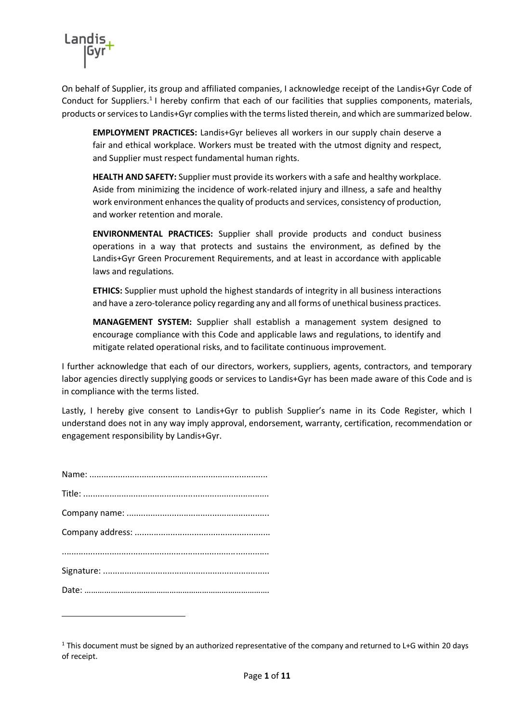

On behalf of Supplier, its group and affiliated companies, I acknowledge receipt of the Landis+Gyr Code of Conduct for Suppliers.<sup>1</sup> I hereby confirm that each of our facilities that supplies components, materials, products or services to Landis+Gyr complies with the terms listed therein, and which are summarized below.

**EMPLOYMENT PRACTICES:** Landis+Gyr believes all workers in our supply chain deserve a fair and ethical workplace. Workers must be treated with the utmost dignity and respect, and Supplier must respect fundamental human rights.

**HEALTH AND SAFETY:** Supplier must provide its workers with a safe and healthy workplace. Aside from minimizing the incidence of work-related injury and illness, a safe and healthy work environment enhances the quality of products and services, consistency of production, and worker retention and morale.

**ENVIRONMENTAL PRACTICES:** Supplier shall provide products and conduct business operations in a way that protects and sustains the environment, as defined by the Landis+Gyr Green Procurement Requirements, and at least in accordance with applicable laws and regulations.

**ETHICS:** Supplier must uphold the highest standards of integrity in all business interactions and have a zero-tolerance policy regarding any and all forms of unethical business practices.

**MANAGEMENT SYSTEM:** Supplier shall establish a management system designed to encourage compliance with this Code and applicable laws and regulations, to identify and mitigate related operational risks, and to facilitate continuous improvement.

I further acknowledge that each of our directors, workers, suppliers, agents, contractors, and temporary labor agencies directly supplying goods or services to Landis+Gyr has been made aware of this Code and is in compliance with the terms listed.

Lastly, I hereby give consent to Landis+Gyr to publish Supplier's name in its Code Register, which I understand does not in any way imply approval, endorsement, warranty, certification, recommendation or engagement responsibility by Landis+Gyr.

**.** 

 $1$  This document must be signed by an authorized representative of the company and returned to L+G within 20 days of receipt.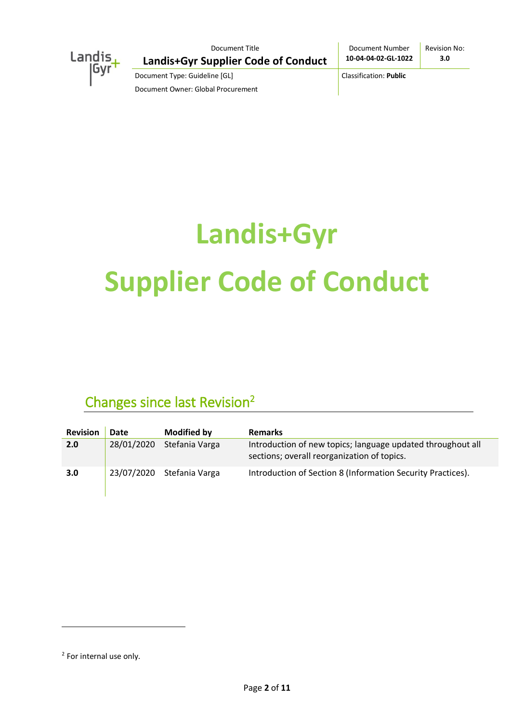

Document Number **10-04-04-02-GL-1022** Revision No: **3.0**

Document Type: Guideline [GL] Classification: **Public** Document Owner: Global Procurement

# **Landis+Gyr Supplier Code of Conduct**

## Changes since last Revision<sup>2</sup>

| <b>Revision</b> | Date       | <b>Modified by</b>        | <b>Remarks</b>                                                                                             |
|-----------------|------------|---------------------------|------------------------------------------------------------------------------------------------------------|
| 2.0             | 28/01/2020 | Stefania Varga            | Introduction of new topics; language updated throughout all<br>sections; overall reorganization of topics. |
| 3.0             |            | 23/07/2020 Stefania Varga | Introduction of Section 8 (Information Security Practices).                                                |

1

<sup>&</sup>lt;sup>2</sup> For internal use only.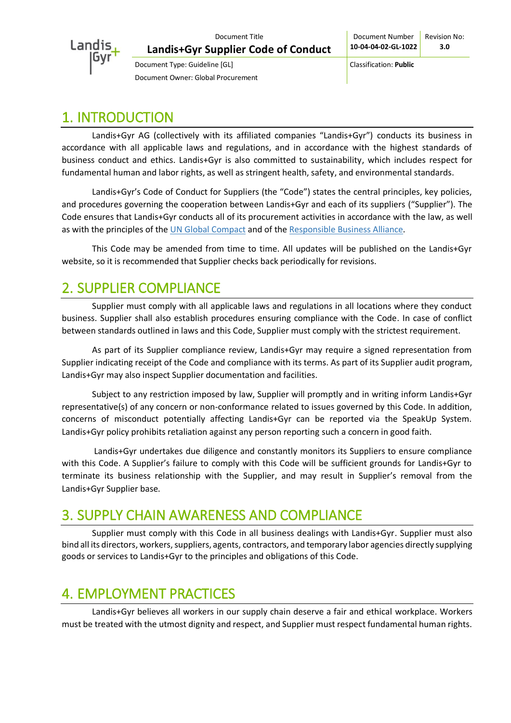

## 1. INTRODUCTION

Landis+Gyr AG (collectively with its affiliated companies "Landis+Gyr") conducts its business in accordance with all applicable laws and regulations, and in accordance with the highest standards of business conduct and ethics. Landis+Gyr is also committed to sustainability, which includes respect for fundamental human and labor rights, as well as stringent health, safety, and environmental standards.

Landis+Gyr's Code of Conduct for Suppliers (the "Code") states the central principles, key policies, and procedures governing the cooperation between Landis+Gyr and each of its suppliers ("Supplier"). The Code ensures that Landis+Gyr conducts all of its procurement activities in accordance with the law, as well as with the principles of the [UN Global Compact](https://www.unglobalcompact.org/what-is-gc/mission/principles) and of the [Responsible Business Alliance.](http://www.responsiblebusiness.org/media/docs/RBACodeofConduct6.0_English.pdf)

This Code may be amended from time to time. All updates will be published on the Landis+Gyr website, so it is recommended that Supplier checks back periodically for revisions.

## 2. SUPPLIER COMPLIANCE

Supplier must comply with all applicable laws and regulations in all locations where they conduct business. Supplier shall also establish procedures ensuring compliance with the Code. In case of conflict between standards outlined in laws and this Code, Supplier must comply with the strictest requirement.

As part of its Supplier compliance review, Landis+Gyr may require a signed representation from Supplier indicating receipt of the Code and compliance with its terms. As part of its Supplier audit program, Landis+Gyr may also inspect Supplier documentation and facilities.

Subject to any restriction imposed by law, Supplier will promptly and in writing inform Landis+Gyr representative(s) of any concern or non-conformance related to issues governed by this Code. In addition, concerns of misconduct potentially affecting Landis+Gyr can be reported via the SpeakUp System. Landis+Gyr policy prohibits retaliation against any person reporting such a concern in good faith.

Landis+Gyr undertakes due diligence and constantly monitors its Suppliers to ensure compliance with this Code. A Supplier's failure to comply with this Code will be sufficient grounds for Landis+Gyr to terminate its business relationship with the Supplier, and may result in Supplier's removal from the Landis+Gyr Supplier base.

## 3. SUPPLY CHAIN AWARENESS AND COMPLIANCE

Supplier must comply with this Code in all business dealings with Landis+Gyr. Supplier must also bind all its directors, workers, suppliers, agents, contractors, and temporary labor agencies directly supplying goods or services to Landis+Gyr to the principles and obligations of this Code.

## 4. EMPLOYMENT PRACTICES

Landis+Gyr believes all workers in our supply chain deserve a fair and ethical workplace. Workers must be treated with the utmost dignity and respect, and Supplier must respect fundamental human rights.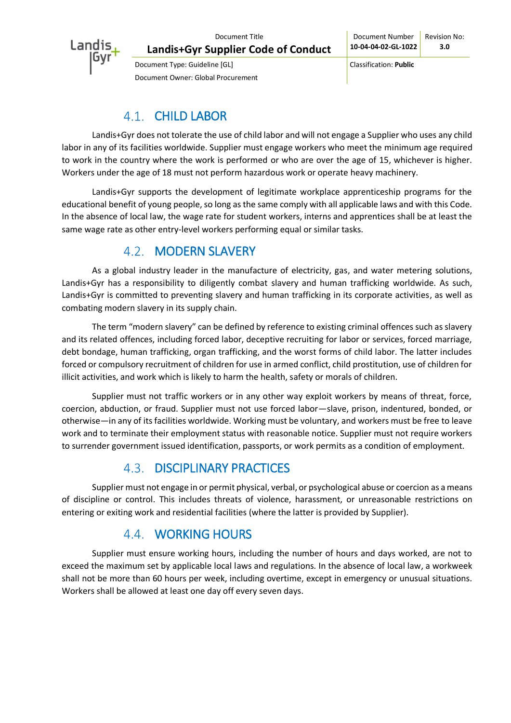

## 4.1. CHILD LABOR

Landis+Gyr does not tolerate the use of child labor and will not engage a Supplier who uses any child labor in any of its facilities worldwide. Supplier must engage workers who meet the minimum age required to work in the country where the work is performed or who are over the age of 15, whichever is higher. Workers under the age of 18 must not perform hazardous work or operate heavy machinery.

Landis+Gyr supports the development of legitimate workplace apprenticeship programs for the educational benefit of young people, so long as the same comply with all applicable laws and with this Code. In the absence of local law, the wage rate for student workers, interns and apprentices shall be at least the same wage rate as other entry-level workers performing equal or similar tasks.

#### 4.2. MODERN SLAVERY

As a global industry leader in the manufacture of electricity, gas, and water metering solutions, Landis+Gyr has a responsibility to diligently combat slavery and human trafficking worldwide. As such, Landis+Gyr is committed to preventing slavery and human trafficking in its corporate activities, as well as combating modern slavery in its supply chain.

The term "modern slavery" can be defined by reference to existing criminal offences such as slavery and its related offences, including forced labor, deceptive recruiting for labor or services, forced marriage, debt bondage, human trafficking, organ trafficking, and the worst forms of child labor. The latter includes forced or compulsory recruitment of children for use in armed conflict, child prostitution, use of children for illicit activities, and work which is likely to harm the health, safety or morals of children.

Supplier must not traffic workers or in any other way exploit workers by means of threat, force, coercion, abduction, or fraud. Supplier must not use forced labor—slave, prison, indentured, bonded, or otherwise—in any of its facilities worldwide. Working must be voluntary, and workers must be free to leave work and to terminate their employment status with reasonable notice. Supplier must not require workers to surrender government issued identification, passports, or work permits as a condition of employment.

#### 4.3. DISCIPLINARY PRACTICES

Supplier must not engage in or permit physical, verbal, or psychological abuse or coercion as a means of discipline or control. This includes threats of violence, harassment, or unreasonable restrictions on entering or exiting work and residential facilities (where the latter is provided by Supplier).

## **4.4. WORKING HOURS**

Supplier must ensure working hours, including the number of hours and days worked, are not to exceed the maximum set by applicable local laws and regulations. In the absence of local law, a workweek shall not be more than 60 hours per week, including overtime, except in emergency or unusual situations. Workers shall be allowed at least one day off every seven days.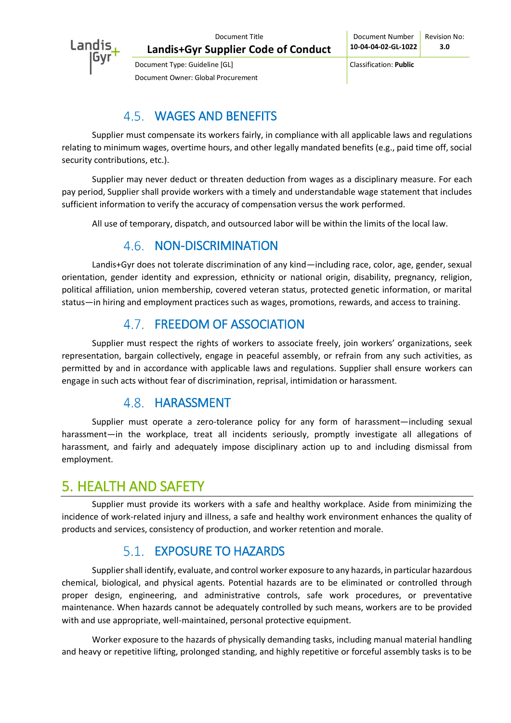

## WAGES AND BENEFITS

Supplier must compensate its workers fairly, in compliance with all applicable laws and regulations relating to minimum wages, overtime hours, and other legally mandated benefits (e.g., paid time off, social security contributions, etc.).

Supplier may never deduct or threaten deduction from wages as a disciplinary measure. For each pay period, Supplier shall provide workers with a timely and understandable wage statement that includes sufficient information to verify the accuracy of compensation versus the work performed.

All use of temporary, dispatch, and outsourced labor will be within the limits of the local law.

#### 4.6. NON-DISCRIMINATION

Landis+Gyr does not tolerate discrimination of any kind—including race, color, age, gender, sexual orientation, gender identity and expression, ethnicity or national origin, disability, pregnancy, religion, political affiliation, union membership, covered veteran status, protected genetic information, or marital status—in hiring and employment practices such as wages, promotions, rewards, and access to training.

## 4.7. FREEDOM OF ASSOCIATION

Supplier must respect the rights of workers to associate freely, join workers' organizations, seek representation, bargain collectively, engage in peaceful assembly, or refrain from any such activities, as permitted by and in accordance with applicable laws and regulations. Supplier shall ensure workers can engage in such acts without fear of discrimination, reprisal, intimidation or harassment.

#### 4.8. HARASSMENT

Supplier must operate a zero-tolerance policy for any form of harassment—including sexual harassment—in the workplace, treat all incidents seriously, promptly investigate all allegations of harassment, and fairly and adequately impose disciplinary action up to and including dismissal from employment.

## 5. HEALTH AND SAFETY

Supplier must provide its workers with a safe and healthy workplace. Aside from minimizing the incidence of work-related injury and illness, a safe and healthy work environment enhances the quality of products and services, consistency of production, and worker retention and morale.

#### EXPOSURE TO HAZARDS

Supplier shall identify, evaluate, and control worker exposure to any hazards, in particular hazardous chemical, biological, and physical agents. Potential hazards are to be eliminated or controlled through proper design, engineering, and administrative controls, safe work procedures, or preventative maintenance. When hazards cannot be adequately controlled by such means, workers are to be provided with and use appropriate, well-maintained, personal protective equipment.

Worker exposure to the hazards of physically demanding tasks, including manual material handling and heavy or repetitive lifting, prolonged standing, and highly repetitive or forceful assembly tasks is to be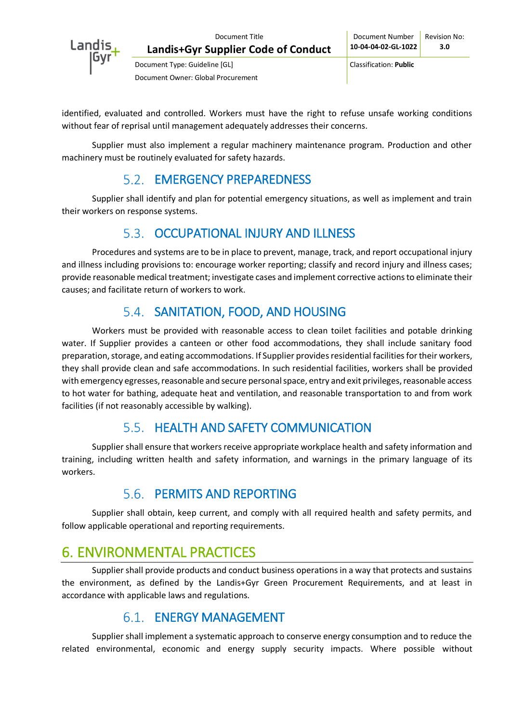

Document Type: Guideline [GL] Classification: **Public** Document Owner: Global Procurement

identified, evaluated and controlled. Workers must have the right to refuse unsafe working conditions without fear of reprisal until management adequately addresses their concerns.

Supplier must also implement a regular machinery maintenance program. Production and other machinery must be routinely evaluated for safety hazards.

## 5.2. **EMERGENCY PREPAREDNESS**

Supplier shall identify and plan for potential emergency situations, as well as implement and train their workers on response systems.

## 5.3. OCCUPATIONAL INJURY AND ILLNESS

Procedures and systems are to be in place to prevent, manage, track, and report occupational injury and illness including provisions to: encourage worker reporting; classify and record injury and illness cases; provide reasonable medical treatment; investigate cases and implement corrective actions to eliminate their causes; and facilitate return of workers to work.

## 5.4. SANITATION, FOOD, AND HOUSING

Workers must be provided with reasonable access to clean toilet facilities and potable drinking water. If Supplier provides a canteen or other food accommodations, they shall include sanitary food preparation, storage, and eating accommodations. If Supplier provides residential facilities for their workers, they shall provide clean and safe accommodations. In such residential facilities, workers shall be provided with emergency egresses, reasonable and secure personal space, entry and exit privileges, reasonable access to hot water for bathing, adequate heat and ventilation, and reasonable transportation to and from work facilities (if not reasonably accessible by walking).

## 5.5. HEALTH AND SAFETY COMMUNICATION

Supplier shall ensure that workers receive appropriate workplace health and safety information and training, including written health and safety information, and warnings in the primary language of its workers.

## PERMITS AND REPORTING

Supplier shall obtain, keep current, and comply with all required health and safety permits, and follow applicable operational and reporting requirements.

## 6. ENVIRONMENTAL PRACTICES

Supplier shall provide products and conduct business operations in a way that protects and sustains the environment, as defined by the Landis+Gyr Green Procurement Requirements, and at least in accordance with applicable laws and regulations.

## 6.1. **FNERGY MANAGEMENT**

Supplier shall implement a systematic approach to conserve energy consumption and to reduce the related environmental, economic and energy supply security impacts. Where possible without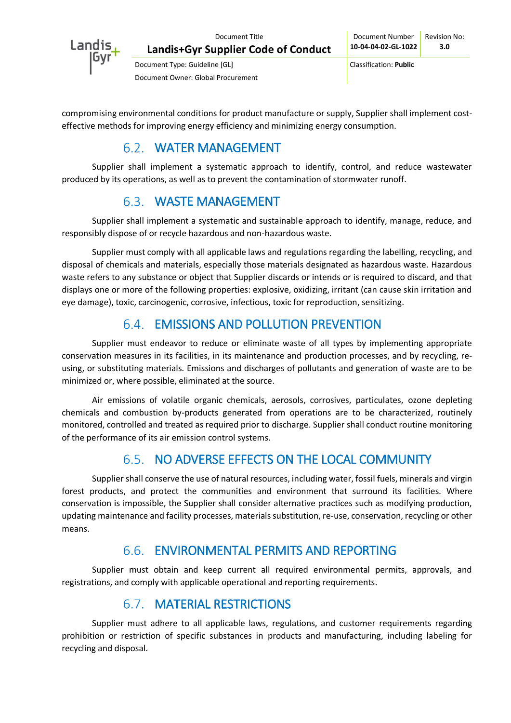

Document Type: Guideline [GL] Classification: **Public** Document Owner: Global Procurement

compromising environmental conditions for product manufacture or supply, Supplier shall implement costeffective methods for improving energy efficiency and minimizing energy consumption.

### WATER MANAGEMENT

Supplier shall implement a systematic approach to identify, control, and reduce wastewater produced by its operations, as well as to prevent the contamination of stormwater runoff.

## WASTE MANAGEMENT

Supplier shall implement a systematic and sustainable approach to identify, manage, reduce, and responsibly dispose of or recycle hazardous and non-hazardous waste.

Supplier must comply with all applicable laws and regulations regarding the labelling, recycling, and disposal of chemicals and materials, especially those materials designated as hazardous waste. Hazardous waste refers to any substance or object that Supplier discards or intends or is required to discard, and that displays one or more of the following properties: explosive, oxidizing, irritant (can cause skin irritation and eye damage), toxic, carcinogenic, corrosive, infectious, toxic for reproduction, sensitizing.

## EMISSIONS AND POLLUTION PREVENTION

Supplier must endeavor to reduce or eliminate waste of all types by implementing appropriate conservation measures in its facilities, in its maintenance and production processes, and by recycling, reusing, or substituting materials. Emissions and discharges of pollutants and generation of waste are to be minimized or, where possible, eliminated at the source.

Air emissions of volatile organic chemicals, aerosols, corrosives, particulates, ozone depleting chemicals and combustion by-products generated from operations are to be characterized, routinely monitored, controlled and treated as required prior to discharge. Supplier shall conduct routine monitoring of the performance of its air emission control systems.

## 6.5. NO ADVERSE EFFECTS ON THE LOCAL COMMUNITY

Supplier shall conserve the use of natural resources, including water, fossil fuels, minerals and virgin forest products, and protect the communities and environment that surround its facilities. Where conservation is impossible, the Supplier shall consider alternative practices such as modifying production, updating maintenance and facility processes, materials substitution, re-use, conservation, recycling or other means.

## ENVIRONMENTAL PERMITS AND REPORTING

Supplier must obtain and keep current all required environmental permits, approvals, and registrations, and comply with applicable operational and reporting requirements.

## MATERIAL RESTRICTIONS

Supplier must adhere to all applicable laws, regulations, and customer requirements regarding prohibition or restriction of specific substances in products and manufacturing, including labeling for recycling and disposal.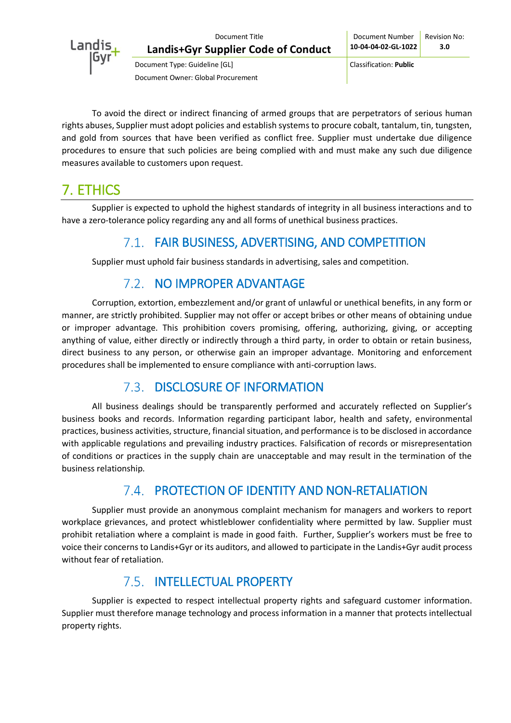

To avoid the direct or indirect financing of armed groups that are perpetrators of serious human rights abuses, Supplier must adopt policies and establish systems to procure cobalt, tantalum, tin, tungsten, and gold from sources that have been verified as conflict free. Supplier must undertake due diligence procedures to ensure that such policies are being complied with and must make any such due diligence measures available to customers upon request.

## 7. ETHICS

Supplier is expected to uphold the highest standards of integrity in all business interactions and to have a zero-tolerance policy regarding any and all forms of unethical business practices.

## FAIR BUSINESS, ADVERTISING, AND COMPETITION

Supplier must uphold fair business standards in advertising, sales and competition.

## 7.2. NO IMPROPER ADVANTAGE

Corruption, extortion, embezzlement and/or grant of unlawful or unethical benefits, in any form or manner, are strictly prohibited. Supplier may not offer or accept bribes or other means of obtaining undue or improper advantage. This prohibition covers promising, offering, authorizing, giving, or accepting anything of value, either directly or indirectly through a third party, in order to obtain or retain business, direct business to any person, or otherwise gain an improper advantage. Monitoring and enforcement procedures shall be implemented to ensure compliance with anti-corruption laws.

## 7.3. DISCLOSURE OF INFORMATION

All business dealings should be transparently performed and accurately reflected on Supplier's business books and records. Information regarding participant labor, health and safety, environmental practices, business activities, structure, financial situation, and performance is to be disclosed in accordance with applicable regulations and prevailing industry practices. Falsification of records or misrepresentation of conditions or practices in the supply chain are unacceptable and may result in the termination of the business relationship.

## PROTECTION OF IDENTITY AND NON-RETALIATION

Supplier must provide an anonymous complaint mechanism for managers and workers to report workplace grievances, and protect whistleblower confidentiality where permitted by law. Supplier must prohibit retaliation where a complaint is made in good faith. Further, Supplier's workers must be free to voice their concerns to Landis+Gyr or its auditors, and allowed to participate in the Landis+Gyr audit process without fear of retaliation.

## 7.5. INTELLECTUAL PROPERTY

Supplier is expected to respect intellectual property rights and safeguard customer information. Supplier must therefore manage technology and process information in a manner that protects intellectual property rights.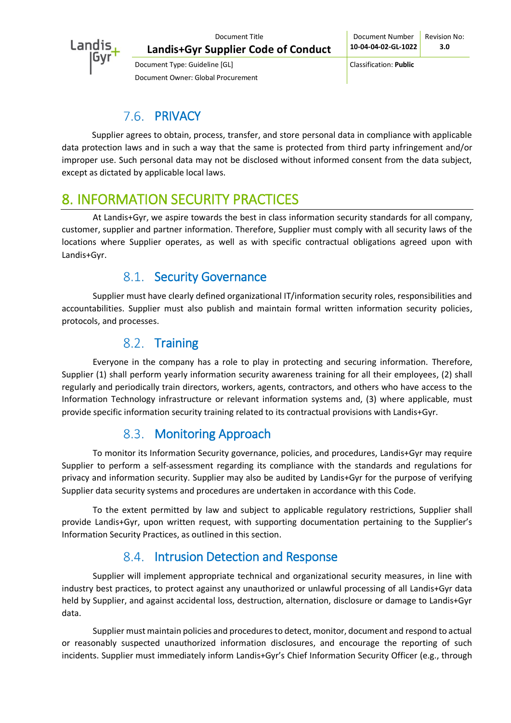

Document Type: Guideline [GL] Classification: **Public**

## 7.6. PRIVACY

Document Owner: Global Procurement

Supplier agrees to obtain, process, transfer, and store personal data in compliance with applicable data protection laws and in such a way that the same is protected from third party infringement and/or improper use. Such personal data may not be disclosed without informed consent from the data subject, except as dictated by applicable local laws.

## 8. INFORMATION SECURITY PRACTICES

At Landis+Gyr, we aspire towards the best in class information security standards for all company, customer, supplier and partner information. Therefore, Supplier must comply with all security laws of the locations where Supplier operates, as well as with specific contractual obligations agreed upon with Landis+Gyr.

#### 8.1. Security Governance

Supplier must have clearly defined organizational IT/information security roles, responsibilities and accountabilities. Supplier must also publish and maintain formal written information security policies, protocols, and processes.

#### 8.2. Training

Everyone in the company has a role to play in protecting and securing information. Therefore, Supplier (1) shall perform yearly information security awareness training for all their employees, (2) shall regularly and periodically train directors, workers, agents, contractors, and others who have access to the Information Technology infrastructure or relevant information systems and, (3) where applicable, must provide specific information security training related to its contractual provisions with Landis+Gyr.

## 8.3. Monitoring Approach

To monitor its Information Security governance, policies, and procedures, Landis+Gyr may require Supplier to perform a self-assessment regarding its compliance with the standards and regulations for privacy and information security. Supplier may also be audited by Landis+Gyr for the purpose of verifying Supplier data security systems and procedures are undertaken in accordance with this Code.

To the extent permitted by law and subject to applicable regulatory restrictions, Supplier shall provide Landis+Gyr, upon written request, with supporting documentation pertaining to the Supplier's Information Security Practices, as outlined in this section.

## 8.4. Intrusion Detection and Response

Supplier will implement appropriate technical and organizational security measures, in line with industry best practices, to protect against any unauthorized or unlawful processing of all Landis+Gyr data held by Supplier, and against accidental loss, destruction, alternation, disclosure or damage to Landis+Gyr data.

Supplier must maintain policies and procedures to detect, monitor, document and respond to actual or reasonably suspected unauthorized information disclosures, and encourage the reporting of such incidents. Supplier must immediately inform Landis+Gyr's Chief Information Security Officer (e.g., through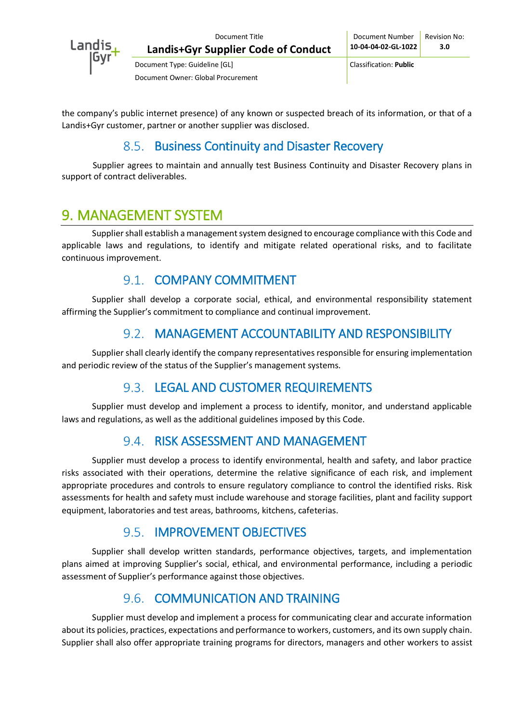

Document Type: Guideline [GL] Classification: **Public** Document Owner: Global Procurement

the company's public internet presence) of any known or suspected breach of its information, or that of a Landis+Gyr customer, partner or another supplier was disclosed.

#### 8.5. Business Continuity and Disaster Recovery

Supplier agrees to maintain and annually test Business Continuity and Disaster Recovery plans in support of contract deliverables.

## 9. MANAGEMENT SYSTEM

Supplier shall establish a management system designed to encourage compliance with this Code and applicable laws and regulations, to identify and mitigate related operational risks, and to facilitate continuous improvement.

#### 9.1. COMPANY COMMITMENT

Supplier shall develop a corporate social, ethical, and environmental responsibility statement affirming the Supplier's commitment to compliance and continual improvement.

#### MANAGEMENT ACCOUNTABILITY AND RESPONSIBILITY

Supplier shall clearly identify the company representatives responsible for ensuring implementation and periodic review of the status of the Supplier's management systems.

## 9.3. LEGAL AND CUSTOMER REQUIREMENTS

Supplier must develop and implement a process to identify, monitor, and understand applicable laws and regulations, as well as the additional guidelines imposed by this Code.

## 9.4. RISK ASSESSMENT AND MANAGEMENT

Supplier must develop a process to identify environmental, health and safety, and labor practice risks associated with their operations, determine the relative significance of each risk, and implement appropriate procedures and controls to ensure regulatory compliance to control the identified risks. Risk assessments for health and safety must include warehouse and storage facilities, plant and facility support equipment, laboratories and test areas, bathrooms, kitchens, cafeterias.

## 9.5. **IMPROVEMENT OBJECTIVES**

Supplier shall develop written standards, performance objectives, targets, and implementation plans aimed at improving Supplier's social, ethical, and environmental performance, including a periodic assessment of Supplier's performance against those objectives.

## 9.6. COMMUNICATION AND TRAINING

Supplier must develop and implement a process for communicating clear and accurate information about its policies, practices, expectations and performance to workers, customers, and its own supply chain. Supplier shall also offer appropriate training programs for directors, managers and other workers to assist